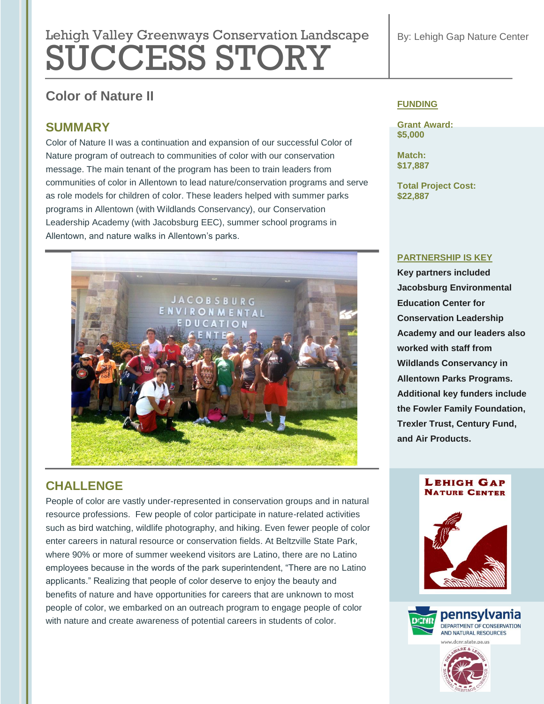# Lehigh Valley Greenways Conservation Landscape SUCCESS STORY

# **Color of Nature II**

## **SUMMARY**

Color of Nature II was a continuation and expansion of our successful Color of Nature program of outreach to communities of color with our conservation message. The main tenant of the program has been to train leaders from communities of color in Allentown to lead nature/conservation programs and serve as role models for children of color. These leaders helped with summer parks programs in Allentown (with Wildlands Conservancy), our Conservation Leadership Academy (with Jacobsburg EEC), summer school programs in Allentown, and nature walks in Allentown's parks.



# **CHALLENGE**

People of color are vastly under-represented in conservation groups and in natural resource professions. Few people of color participate in nature-related activities such as bird watching, wildlife photography, and hiking. Even fewer people of color enter careers in natural resource or conservation fields. At Beltzville State Park, where 90% or more of summer weekend visitors are Latino, there are no Latino employees because in the words of the park superintendent, "There are no Latino applicants." Realizing that people of color deserve to enjoy the beauty and benefits of nature and have opportunities for careers that are unknown to most people of color, we embarked on an outreach program to engage people of color with nature and create awareness of potential careers in students of color.

#### **FUNDING**

**Grant Award: \$5,000**

**Match: \$17,887**

**Total Project Cost: \$22,887**

#### **PARTNERSHIP IS KEY**

**Key partners included Jacobsburg Environmental Education Center for Conservation Leadership Academy and our leaders also worked with staff from Wildlands Conservancy in Allentown Parks Programs. Additional key funders include the Fowler Family Foundation, Trexler Trust, Century Fund, and Air Products.**

#### **LEHIGH GAP NATURE CENTER**